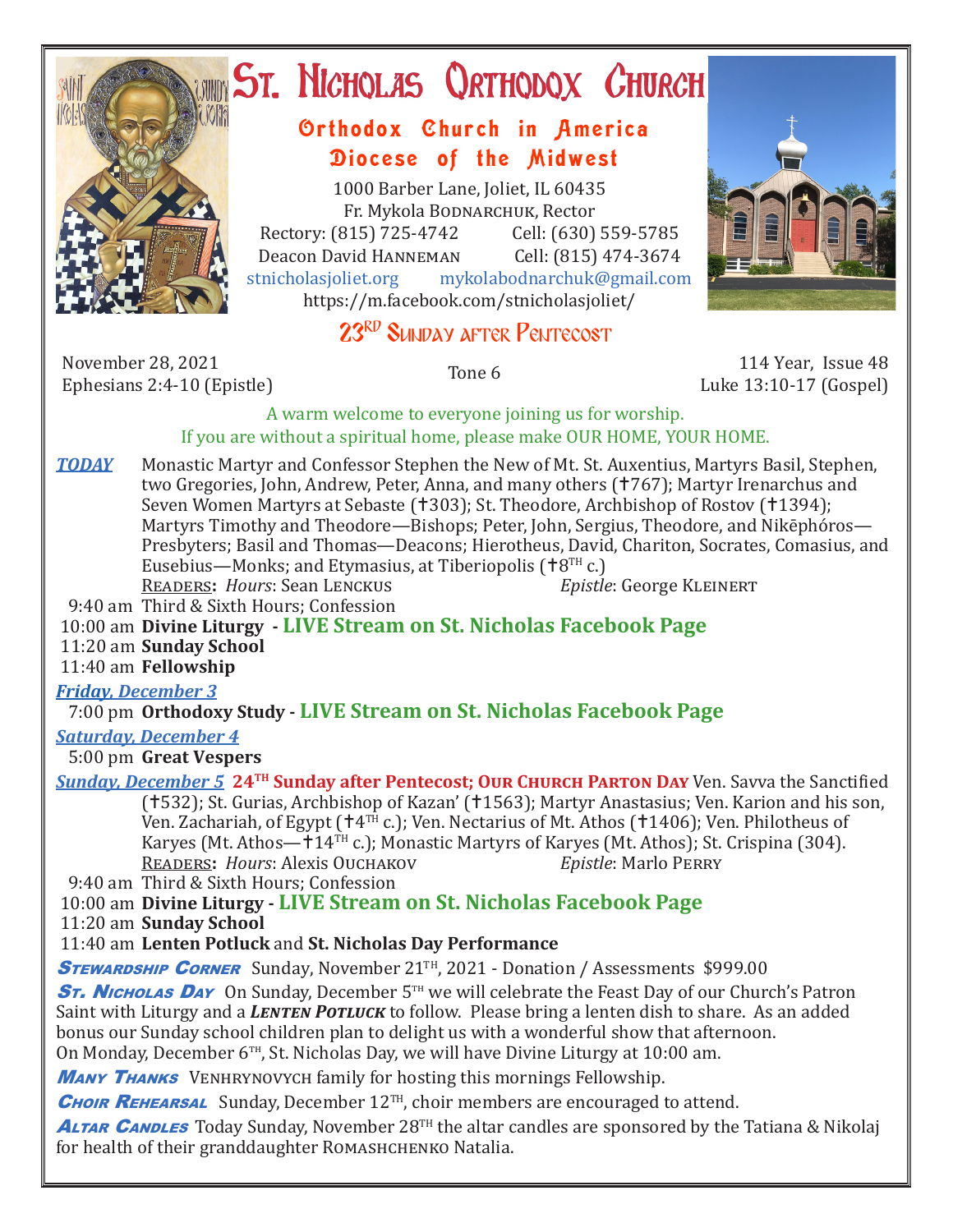

# ST. NICHOLAS QRTHODOX CHURCH

## Orthodox Church in America Diocese of the Midwest

1000 Barber Lane, Joliet, IL 60435 Fr. Mykola Bodnarchuk, Rector Rectory: (815) 725-4742 Cell: (630) 559-5785<br>Deacon David HANNEMAN Cell: (815) 474-3674 Deacon David HANNEMAN<br>stnicholasioliet.org mykola mykolabodnarchuk@gmail.com https://m.facebook.com/stnicholasjoliet/

# 23RD SUNDAY AFTER PENTECOST

November 28, 2021 November 28, 2021 114 Year, Issue 48<br>
Ephesians 2:4-10 (Epistle) Tone 6 13:10-17 (Gospel)

Luke 13:10-17 (Gospel)

#### A warm welcome to everyone joining us for worship. If you are without a spiritual home, please make OUR HOME, YOUR HOME.

**TODAY** Monastic Martyr and Confessor Stephen the New of Mt. St. Auxentius, Martyrs Basil, Stephen, two Gregories, John, Andrew, Peter, Anna, and many others (†767); Martyr Irenarchus and Seven Women Martyrs at Sebaste († 303); St. Theodore, Archbishop of Rostov († 1394); Martyrs Timothy and Theodore—Bishops; Peter, John, Sergius, Theodore, and Nikēphóros— Presbyters; Basil and Thomas—Deacons; Hierotheus, David, Chariton, Socrates, Comasius, and Eusebius—Monks; and Etymasius, at Tiberiopolis ( $\uparrow$ 8<sup>TH</sup> c.)<br>READERS: *Hours*: Sean LENCKUS *Epistle*: George KLEINERT **READERS: Hours: Sean LENCKUS** 

9:40 am Third & Sixth Hours; Confession

## 10:00 am **Divine Liturgy - LIVE Stream on St. Nicholas Facebook Page**

11:20 am **Sunday School**

11:40 am **Fellowship** 

## *Friday, December 3*

7:00 pm **Orthodoxy Study - LIVE Stream on St. Nicholas Facebook Page**

## *Saturday, December 4*

5:00 pm **Great Vespers**

*Sunday, December 5* **24<sup>TH</sup> Sunday after Pentecost; OUR CHURCH PARTON DAY Ven. Savva the Sanctified** (†532); St. Gurias, Archbishop of Kazan' (†1563); Martyr Anastasius; Ven. Karion and his son, Ven. Zachariah, of Egypt ( $\text{t}4^{T\text{H}}$  c.); Ven. Nectarius of Mt. Athos ( $\text{t}1406$ ); Ven. Philotheus of Karyes (Mt. Athos— $\pm 14$ <sup>TH</sup> c.); Monastic Martyrs of Karyes (Mt. Athos); St. Crispina (304).<br>READERS: *Hours*: Alexis Ouchakov *Epistle*: Marlo PERRY READERS: *Hours*: Alexis Ouchakov

9:40 am Third & Sixth Hours; Confession

## 10:00 am **Divine Liturgy - LIVE Stream on St. Nicholas Facebook Page**

11:20 am **Sunday School**

## 11:40 am **Lenten Potluck** and **St. Nicholas Day Performance**

**STEWARDSHIP CORNER** Sunday, November 21<sup>TH</sup>, 2021 - Donation / Assessments \$999.00

**ST. Nicholas Day** On Sunday, December 5<sup>th</sup> we will celebrate the Feast Day of our Church's Patron Saint with Liturgy and a *Lenten Potluck* to follow. Please bring a lenten dish to share. As an added bonus our Sunday school children plan to delight us with a wonderful show that afternoon. On Monday, December  $6<sup>TH</sup>$ , St. Nicholas Day, we will have Divine Liturgy at 10:00 am.

**MANY THANKS** VENHRYNOVYCH family for hosting this mornings Fellowship.

**CHOIR REHEARSAL** Sunday, December 12<sup>TH</sup>, choir members are encouraged to attend.

**ALTAR CANDLES** Today Sunday, November 28<sup>TH</sup> the altar candles are sponsored by the Tatiana & Nikolaj for health of their granddaughter ROMASHCHENKO Natalia.